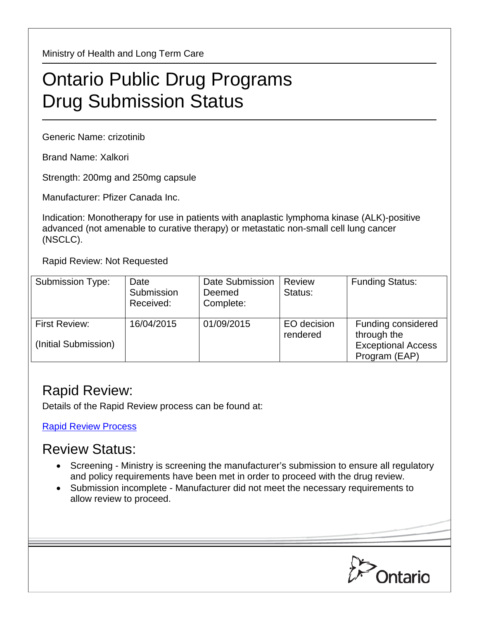Ministry of Health and Long Term Care

## Ontario Public Drug Programs Drug Submission Status

Generic Name: crizotinib

Brand Name: Xalkori

Strength: 200mg and 250mg capsule

Manufacturer: Pfizer Canada Inc.

Indication: Monotherapy for use in patients with anaplastic lymphoma kinase (ALK)-positive advanced (not amenable to curative therapy) or metastatic non-small cell lung cancer (NSCLC).

Rapid Review: Not Requested

| <b>Submission Type:</b>                      | Date<br>Submission<br>Received: | Date Submission<br>Deemed<br>Complete: | Review<br>Status:       | <b>Funding Status:</b>                                                          |
|----------------------------------------------|---------------------------------|----------------------------------------|-------------------------|---------------------------------------------------------------------------------|
| <b>First Review:</b><br>(Initial Submission) | 16/04/2015                      | 01/09/2015                             | EO decision<br>rendered | Funding considered<br>through the<br><b>Exceptional Access</b><br>Program (EAP) |

## Rapid Review:

Details of the Rapid Review process can be found at:

[Rapid Review Process](http://www.health.gov.on.ca/en/pro/programs/drugs/drug_submissions/rapid_review_process.aspx)

## Review Status:

- Screening Ministry is screening the manufacturer's submission to ensure all regulatory and policy requirements have been met in order to proceed with the drug review.
- Submission incomplete Manufacturer did not meet the necessary requirements to allow review to proceed.